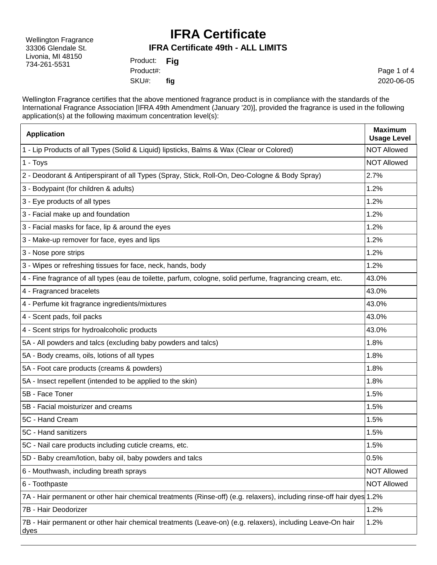Wellington Fragrance 33306 Glendale St. Livonia, MI 48150 734-261-5531

### **IFRA Certificate**

#### **IFRA Certificate 49th - ALL LIMITS**

| Product:  | Fig |
|-----------|-----|
| Product#: |     |
| SKU#:     | fig |

Page 1 of 4 2020-06-05

Wellington Fragrance certifies that the above mentioned fragrance product is in compliance with the standards of the International Fragrance Association [IFRA 49th Amendment (January '20)], provided the fragrance is used in the following application(s) at the following maximum concentration level(s):

| <b>Application</b>                                                                                                       | <b>Maximum</b><br><b>Usage Level</b> |
|--------------------------------------------------------------------------------------------------------------------------|--------------------------------------|
| 1 - Lip Products of all Types (Solid & Liquid) lipsticks, Balms & Wax (Clear or Colored)                                 | <b>NOT Allowed</b>                   |
| 1 - Toys                                                                                                                 | <b>NOT Allowed</b>                   |
| 2 - Deodorant & Antiperspirant of all Types (Spray, Stick, Roll-On, Deo-Cologne & Body Spray)                            | 2.7%                                 |
| 3 - Bodypaint (for children & adults)                                                                                    | 1.2%                                 |
| 3 - Eye products of all types                                                                                            | 1.2%                                 |
| 3 - Facial make up and foundation                                                                                        | 1.2%                                 |
| 3 - Facial masks for face, lip & around the eyes                                                                         | 1.2%                                 |
| 3 - Make-up remover for face, eyes and lips                                                                              | 1.2%                                 |
| 3 - Nose pore strips                                                                                                     | 1.2%                                 |
| 3 - Wipes or refreshing tissues for face, neck, hands, body                                                              | 1.2%                                 |
| 4 - Fine fragrance of all types (eau de toilette, parfum, cologne, solid perfume, fragrancing cream, etc.                | 43.0%                                |
| 4 - Fragranced bracelets                                                                                                 | 43.0%                                |
| 4 - Perfume kit fragrance ingredients/mixtures                                                                           | 43.0%                                |
| 4 - Scent pads, foil packs                                                                                               | 43.0%                                |
| 4 - Scent strips for hydroalcoholic products                                                                             | 43.0%                                |
| 5A - All powders and talcs (excluding baby powders and talcs)                                                            | 1.8%                                 |
| 5A - Body creams, oils, lotions of all types                                                                             | 1.8%                                 |
| 5A - Foot care products (creams & powders)                                                                               | 1.8%                                 |
| 5A - Insect repellent (intended to be applied to the skin)                                                               | 1.8%                                 |
| 5B - Face Toner                                                                                                          | 1.5%                                 |
| 5B - Facial moisturizer and creams                                                                                       | 1.5%                                 |
| 5C - Hand Cream                                                                                                          | 1.5%                                 |
| 5C - Hand sanitizers                                                                                                     | 1.5%                                 |
| 5C - Nail care products including cuticle creams, etc.                                                                   | 1.5%                                 |
| 5D - Baby cream/lotion, baby oil, baby powders and talcs                                                                 | 0.5%                                 |
| 6 - Mouthwash, including breath sprays                                                                                   | <b>NOT Allowed</b>                   |
| 6 - Toothpaste                                                                                                           | <b>NOT Allowed</b>                   |
| 7A - Hair permanent or other hair chemical treatments (Rinse-off) (e.g. relaxers), including rinse-off hair dyes 1.2%    |                                      |
| 7B - Hair Deodorizer                                                                                                     | 1.2%                                 |
| 7B - Hair permanent or other hair chemical treatments (Leave-on) (e.g. relaxers), including Leave-On hair<br><u>dyes</u> | 1.2%                                 |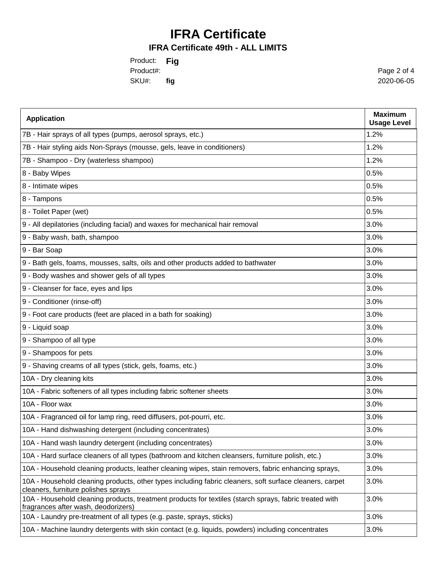## **IFRA Certificate**

#### **IFRA Certificate 49th - ALL LIMITS**

Product: **Fig** SKU#: Product#: **fig**

Page 2 of 4 2020-06-05

| <b>Application</b>                                                                                                                             | <b>Maximum</b><br><b>Usage Level</b> |
|------------------------------------------------------------------------------------------------------------------------------------------------|--------------------------------------|
| 7B - Hair sprays of all types (pumps, aerosol sprays, etc.)                                                                                    | 1.2%                                 |
| 7B - Hair styling aids Non-Sprays (mousse, gels, leave in conditioners)                                                                        | 1.2%                                 |
| 7B - Shampoo - Dry (waterless shampoo)                                                                                                         | 1.2%                                 |
| 8 - Baby Wipes                                                                                                                                 | 0.5%                                 |
| 8 - Intimate wipes                                                                                                                             | 0.5%                                 |
| 8 - Tampons                                                                                                                                    | 0.5%                                 |
| 8 - Toilet Paper (wet)                                                                                                                         | 0.5%                                 |
| 9 - All depilatories (including facial) and waxes for mechanical hair removal                                                                  | 3.0%                                 |
| 9 - Baby wash, bath, shampoo                                                                                                                   | 3.0%                                 |
| 9 - Bar Soap                                                                                                                                   | 3.0%                                 |
| 9 - Bath gels, foams, mousses, salts, oils and other products added to bathwater                                                               | 3.0%                                 |
| 9 - Body washes and shower gels of all types                                                                                                   | 3.0%                                 |
| 9 - Cleanser for face, eyes and lips                                                                                                           | 3.0%                                 |
| 9 - Conditioner (rinse-off)                                                                                                                    | 3.0%                                 |
| 9 - Foot care products (feet are placed in a bath for soaking)                                                                                 | 3.0%                                 |
| 9 - Liquid soap                                                                                                                                | 3.0%                                 |
| 9 - Shampoo of all type                                                                                                                        | 3.0%                                 |
| 9 - Shampoos for pets                                                                                                                          | 3.0%                                 |
| 9 - Shaving creams of all types (stick, gels, foams, etc.)                                                                                     | 3.0%                                 |
| 10A - Dry cleaning kits                                                                                                                        | 3.0%                                 |
| 10A - Fabric softeners of all types including fabric softener sheets                                                                           | 3.0%                                 |
| 10A - Floor wax                                                                                                                                | 3.0%                                 |
| 10A - Fragranced oil for lamp ring, reed diffusers, pot-pourri, etc.                                                                           | 3.0%                                 |
| 10A - Hand dishwashing detergent (including concentrates)                                                                                      | 3.0%                                 |
| 10A - Hand wash laundry detergent (including concentrates)                                                                                     | 3.0%                                 |
| 10A - Hard surface cleaners of all types (bathroom and kitchen cleansers, furniture polish, etc.)                                              | 3.0%                                 |
| 10A - Household cleaning products, leather cleaning wipes, stain removers, fabric enhancing sprays,                                            | 3.0%                                 |
| 10A - Household cleaning products, other types including fabric cleaners, soft surface cleaners, carpet<br>cleaners, furniture polishes sprays | 3.0%                                 |
| 10A - Household cleaning products, treatment products for textiles (starch sprays, fabric treated with<br>fragrances after wash, deodorizers)  | 3.0%                                 |
| 10A - Laundry pre-treatment of all types (e.g. paste, sprays, sticks)                                                                          | 3.0%                                 |
| 10A - Machine laundry detergents with skin contact (e.g. liquids, powders) including concentrates                                              | 3.0%                                 |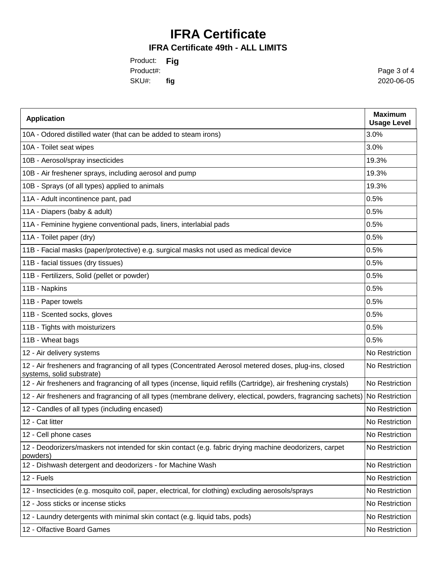# **IFRA Certificate**

### **IFRA Certificate 49th - ALL LIMITS**

Product: **Fig** SKU#: **fig** Product#:

Page 3 of 4 2020-06-05

| <b>Application</b>                                                                                                                  | <b>Maximum</b><br><b>Usage Level</b> |
|-------------------------------------------------------------------------------------------------------------------------------------|--------------------------------------|
| 10A - Odored distilled water (that can be added to steam irons)                                                                     | 3.0%                                 |
| 10A - Toilet seat wipes                                                                                                             | 3.0%                                 |
| 10B - Aerosol/spray insecticides                                                                                                    | 19.3%                                |
| 10B - Air freshener sprays, including aerosol and pump                                                                              | 19.3%                                |
| 10B - Sprays (of all types) applied to animals                                                                                      | 19.3%                                |
| 11A - Adult incontinence pant, pad                                                                                                  | 0.5%                                 |
| 11A - Diapers (baby & adult)                                                                                                        | 0.5%                                 |
| 11A - Feminine hygiene conventional pads, liners, interlabial pads                                                                  | 0.5%                                 |
| 11A - Toilet paper (dry)                                                                                                            | 0.5%                                 |
| 11B - Facial masks (paper/protective) e.g. surgical masks not used as medical device                                                | 0.5%                                 |
| 11B - facial tissues (dry tissues)                                                                                                  | 0.5%                                 |
| 11B - Fertilizers, Solid (pellet or powder)                                                                                         | 0.5%                                 |
| 11B - Napkins                                                                                                                       | 0.5%                                 |
| 11B - Paper towels                                                                                                                  | 0.5%                                 |
| 11B - Scented socks, gloves                                                                                                         | 0.5%                                 |
| 11B - Tights with moisturizers                                                                                                      | 0.5%                                 |
| 11B - Wheat bags                                                                                                                    | 0.5%                                 |
| 12 - Air delivery systems                                                                                                           | No Restriction                       |
| 12 - Air fresheners and fragrancing of all types (Concentrated Aerosol metered doses, plug-ins, closed<br>systems, solid substrate) | No Restriction                       |
| 12 - Air fresheners and fragrancing of all types (incense, liquid refills (Cartridge), air freshening crystals)                     | No Restriction                       |
| 12 - Air fresheners and fragrancing of all types (membrane delivery, electical, powders, fragrancing sachets)                       | No Restriction                       |
| 12 - Candles of all types (including encased)                                                                                       | No Restriction                       |
| 12 - Cat litter                                                                                                                     | No Restriction                       |
| 12 - Cell phone cases                                                                                                               | No Restriction                       |
| 12 - Deodorizers/maskers not intended for skin contact (e.g. fabric drying machine deodorizers, carpet<br>powders)                  | No Restriction                       |
| 12 - Dishwash detergent and deodorizers - for Machine Wash                                                                          | No Restriction                       |
| 12 - Fuels                                                                                                                          | No Restriction                       |
| 12 - Insecticides (e.g. mosquito coil, paper, electrical, for clothing) excluding aerosols/sprays                                   | No Restriction                       |
| 12 - Joss sticks or incense sticks                                                                                                  | No Restriction                       |
| 12 - Laundry detergents with minimal skin contact (e.g. liquid tabs, pods)                                                          | No Restriction                       |
| 12 - Olfactive Board Games                                                                                                          | No Restriction                       |